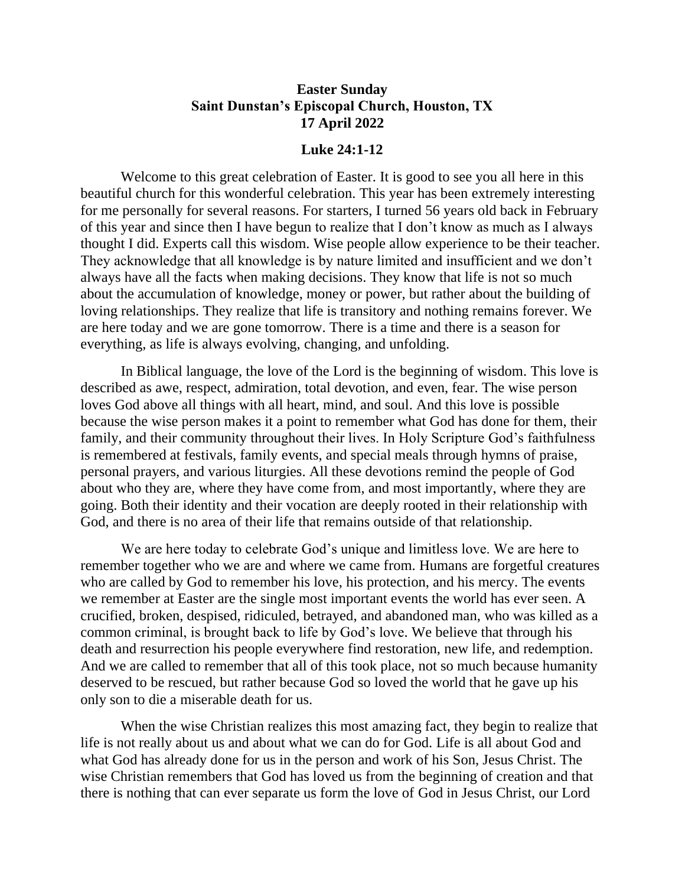## **Easter Sunday Saint Dunstan's Episcopal Church, Houston, TX 17 April 2022**

## **Luke 24:1-12**

Welcome to this great celebration of Easter. It is good to see you all here in this beautiful church for this wonderful celebration. This year has been extremely interesting for me personally for several reasons. For starters, I turned 56 years old back in February of this year and since then I have begun to realize that I don't know as much as I always thought I did. Experts call this wisdom. Wise people allow experience to be their teacher. They acknowledge that all knowledge is by nature limited and insufficient and we don't always have all the facts when making decisions. They know that life is not so much about the accumulation of knowledge, money or power, but rather about the building of loving relationships. They realize that life is transitory and nothing remains forever. We are here today and we are gone tomorrow. There is a time and there is a season for everything, as life is always evolving, changing, and unfolding.

In Biblical language, the love of the Lord is the beginning of wisdom. This love is described as awe, respect, admiration, total devotion, and even, fear. The wise person loves God above all things with all heart, mind, and soul. And this love is possible because the wise person makes it a point to remember what God has done for them, their family, and their community throughout their lives. In Holy Scripture God's faithfulness is remembered at festivals, family events, and special meals through hymns of praise, personal prayers, and various liturgies. All these devotions remind the people of God about who they are, where they have come from, and most importantly, where they are going. Both their identity and their vocation are deeply rooted in their relationship with God, and there is no area of their life that remains outside of that relationship.

We are here today to celebrate God's unique and limitless love. We are here to remember together who we are and where we came from. Humans are forgetful creatures who are called by God to remember his love, his protection, and his mercy. The events we remember at Easter are the single most important events the world has ever seen. A crucified, broken, despised, ridiculed, betrayed, and abandoned man, who was killed as a common criminal, is brought back to life by God's love. We believe that through his death and resurrection his people everywhere find restoration, new life, and redemption. And we are called to remember that all of this took place, not so much because humanity deserved to be rescued, but rather because God so loved the world that he gave up his only son to die a miserable death for us.

When the wise Christian realizes this most amazing fact, they begin to realize that life is not really about us and about what we can do for God. Life is all about God and what God has already done for us in the person and work of his Son, Jesus Christ. The wise Christian remembers that God has loved us from the beginning of creation and that there is nothing that can ever separate us form the love of God in Jesus Christ, our Lord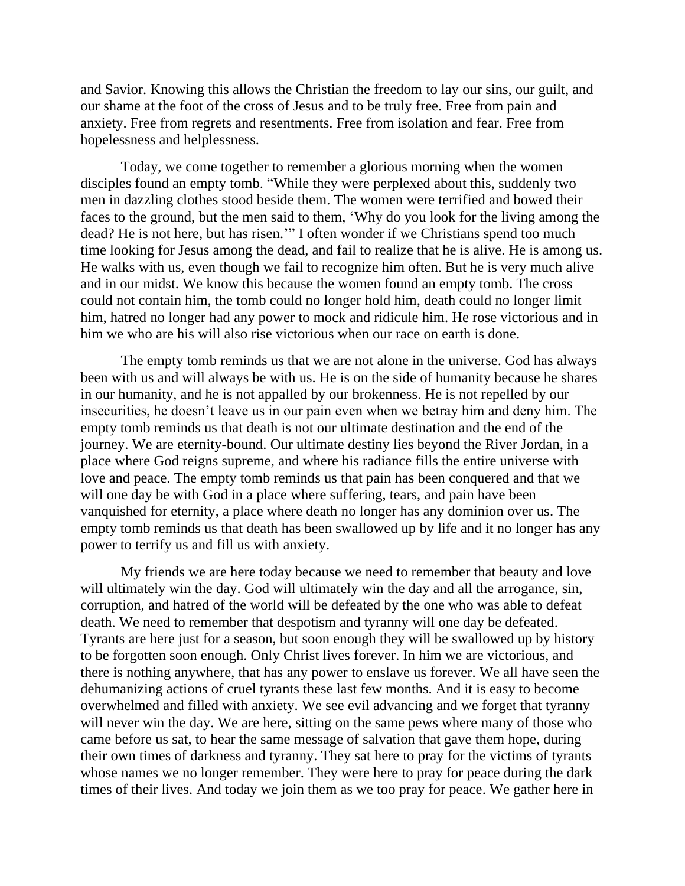and Savior. Knowing this allows the Christian the freedom to lay our sins, our guilt, and our shame at the foot of the cross of Jesus and to be truly free. Free from pain and anxiety. Free from regrets and resentments. Free from isolation and fear. Free from hopelessness and helplessness.

Today, we come together to remember a glorious morning when the women disciples found an empty tomb. "While they were perplexed about this, suddenly two men in dazzling clothes stood beside them. The women were terrified and bowed their faces to the ground, but the men said to them, 'Why do you look for the living among the dead? He is not here, but has risen.'" I often wonder if we Christians spend too much time looking for Jesus among the dead, and fail to realize that he is alive. He is among us. He walks with us, even though we fail to recognize him often. But he is very much alive and in our midst. We know this because the women found an empty tomb. The cross could not contain him, the tomb could no longer hold him, death could no longer limit him, hatred no longer had any power to mock and ridicule him. He rose victorious and in him we who are his will also rise victorious when our race on earth is done.

The empty tomb reminds us that we are not alone in the universe. God has always been with us and will always be with us. He is on the side of humanity because he shares in our humanity, and he is not appalled by our brokenness. He is not repelled by our insecurities, he doesn't leave us in our pain even when we betray him and deny him. The empty tomb reminds us that death is not our ultimate destination and the end of the journey. We are eternity-bound. Our ultimate destiny lies beyond the River Jordan, in a place where God reigns supreme, and where his radiance fills the entire universe with love and peace. The empty tomb reminds us that pain has been conquered and that we will one day be with God in a place where suffering, tears, and pain have been vanquished for eternity, a place where death no longer has any dominion over us. The empty tomb reminds us that death has been swallowed up by life and it no longer has any power to terrify us and fill us with anxiety.

My friends we are here today because we need to remember that beauty and love will ultimately win the day. God will ultimately win the day and all the arrogance, sin, corruption, and hatred of the world will be defeated by the one who was able to defeat death. We need to remember that despotism and tyranny will one day be defeated. Tyrants are here just for a season, but soon enough they will be swallowed up by history to be forgotten soon enough. Only Christ lives forever. In him we are victorious, and there is nothing anywhere, that has any power to enslave us forever. We all have seen the dehumanizing actions of cruel tyrants these last few months. And it is easy to become overwhelmed and filled with anxiety. We see evil advancing and we forget that tyranny will never win the day. We are here, sitting on the same pews where many of those who came before us sat, to hear the same message of salvation that gave them hope, during their own times of darkness and tyranny. They sat here to pray for the victims of tyrants whose names we no longer remember. They were here to pray for peace during the dark times of their lives. And today we join them as we too pray for peace. We gather here in